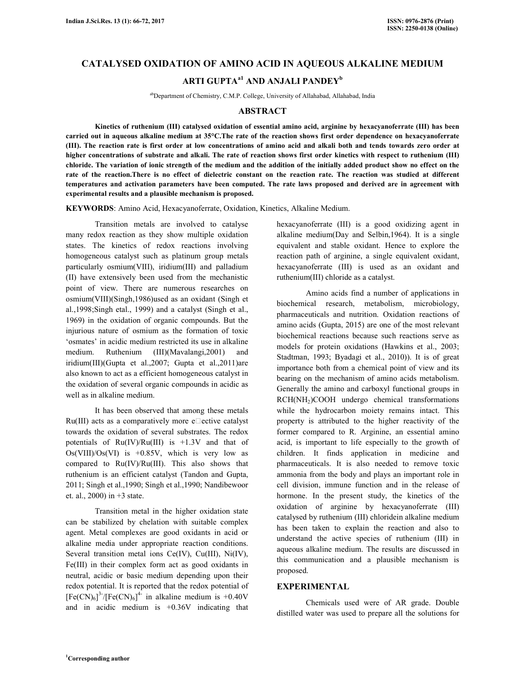# **CATALYSED OXIDATION OF AMINO ACID IN AQUEOUS ALKALINE MEDIUM ARTI GUPTAa1 AND ANJALI PANDEY<sup>b</sup>**

abDepartment of Chemistry, C.M.P. College, University of Allahabad, Allahabad, India

#### **ABSTRACT**

 **Kinetics of ruthenium (III) catalysed oxidation of essential amino acid, arginine by hexacyanoferrate (III) has been carried out in aqueous alkaline medium at 35°C.The rate of the reaction shows first order dependence on hexacyanoferrate (III). The reaction rate is first order at low concentrations of amino acid and alkali both and tends towards zero order at higher concentrations of substrate and alkali. The rate of reaction shows first order kinetics with respect to ruthenium (III) chloride. The variation of ionic strength of the medium and the addition of the initially added product show no effect on the rate of the reaction.There is no effect of dielectric constant on the reaction rate. The reaction was studied at different temperatures and activation parameters have been computed. The rate laws proposed and derived are in agreement with experimental results and a plausible mechanism is proposed.** 

**KEYWORDS**: Amino Acid, Hexacyanoferrate, Oxidation, Kinetics, Alkaline Medium.

 Transition metals are involved to catalyse many redox reaction as they show multiple oxidation states. The kinetics of redox reactions involving homogeneous catalyst such as platinum group metals particularly osmium(VIII), iridium(III) and palladium (II) have extensively been used from the mechanistic point of view. There are numerous researches on osmium(VIII)(Singh,1986)used as an oxidant (Singh et al.,1998;Singh etal., 1999) and a catalyst (Singh et al., 1969) in the oxidation of organic compounds. But the injurious nature of osmium as the formation of toxic 'osmates' in acidic medium restricted its use in alkaline medium. Ruthenium (III)(Mavalangi,2001) and iridium(III)(Gupta et al.,2007; Gupta et al.,2011)are also known to act as a efficient homogeneous catalyst in the oxidation of several organic compounds in acidic as well as in alkaline medium.

 It has been observed that among these metals Ru(III) acts as a comparatively more e $\Box$ ective catalyst towards the oxidation of several substrates. The redox potentials of  $Ru(IV)/Ru(III)$  is  $+1.3V$  and that of  $Os(VIII)/Os(VI)$  is +0.85V, which is very low as compared to Ru(IV)/Ru(III). This also shows that ruthenium is an efficient catalyst (Tandon and Gupta, 2011; Singh et al.,1990; Singh et al.,1990; Nandibewoor et. al., 2000) in +3 state.

 Transition metal in the higher oxidation state can be stabilized by chelation with suitable complex agent. Metal complexes are good oxidants in acid or alkaline media under appropriate reaction conditions. Several transition metal ions Ce(IV), Cu(III), Ni(IV), Fe(III) in their complex form act as good oxidants in neutral, acidic or basic medium depending upon their redox potential. It is reported that the redox potential of  $[Fe(CN)_6]^3$ <sup>-</sup>/ $[Fe(CN)_6]^4$ <sup>-</sup> in alkaline medium is +0.40V and in acidic medium is +0.36V indicating that hexacyanoferrate (III) is a good oxidizing agent in alkaline medium(Day and Selbin,1964). It is a single equivalent and stable oxidant. Hence to explore the reaction path of arginine, a single equivalent oxidant, hexacyanoferrate (III) is used as an oxidant and ruthenium(III) chloride as a catalyst.

 Amino acids find a number of applications in biochemical research, metabolism, microbiology, pharmaceuticals and nutrition. Oxidation reactions of amino acids (Gupta, 2015) are one of the most relevant biochemical reactions because such reactions serve as models for protein oxidations (Hawkins et al., 2003; Stadtman, 1993; Byadagi et al., 2010)). It is of great importance both from a chemical point of view and its bearing on the mechanism of amino acids metabolism. Generally the amino and carboxyl functional groups in RCH(NH<sub>2</sub>)COOH undergo chemical transformations while the hydrocarbon moiety remains intact. This property is attributed to the higher reactivity of the former compared to R. Arginine, an essential amino acid, is important to life especially to the growth of children. It finds application in medicine and pharmaceuticals. It is also needed to remove toxic ammonia from the body and plays an important role in cell division, immune function and in the release of hormone. In the present study, the kinetics of the oxidation of arginine by hexacyanoferrate (III) catalysed by ruthenium (III) chloridein alkaline medium has been taken to explain the reaction and also to understand the active species of ruthenium (III) in aqueous alkaline medium. The results are discussed in this communication and a plausible mechanism is proposed.

#### **EXPERIMENTAL**

 Chemicals used were of AR grade. Double distilled water was used to prepare all the solutions for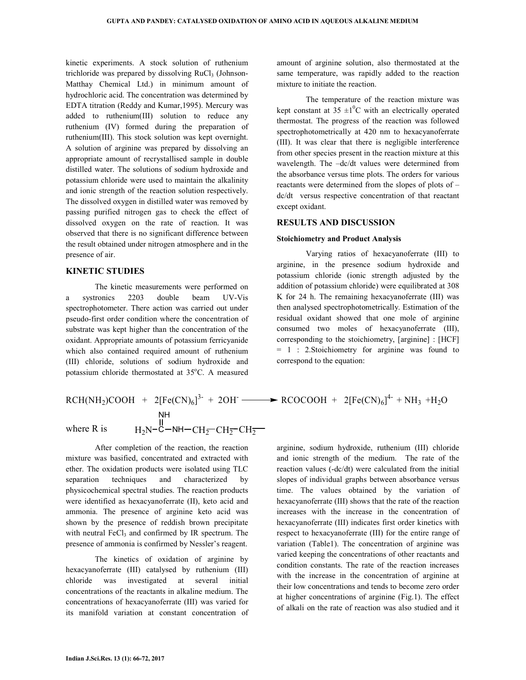kinetic experiments. A stock solution of ruthenium trichloride was prepared by dissolving  $RuCl<sub>3</sub>$  (Johnson-Matthay Chemical Ltd.) in minimum amount of hydrochloric acid. The concentration was determined by EDTA titration (Reddy and Kumar,1995). Mercury was added to ruthenium(III) solution to reduce any ruthenium (IV) formed during the preparation of ruthenium(III). This stock solution was kept overnight. A solution of arginine was prepared by dissolving an appropriate amount of recrystallised sample in double distilled water. The solutions of sodium hydroxide and potassium chloride were used to maintain the alkalinity and ionic strength of the reaction solution respectively. The dissolved oxygen in distilled water was removed by passing purified nitrogen gas to check the effect of dissolved oxygen on the rate of reaction. It was observed that there is no significant difference between the result obtained under nitrogen atmosphere and in the presence of air.

# **KINETIC STUDIES**

 The kinetic measurements were performed on a systronics 2203 double beam UV-Vis spectrophotometer. There action was carried out under pseudo-first order condition where the concentration of substrate was kept higher than the concentration of the oxidant. Appropriate amounts of potassium ferricyanide which also contained required amount of ruthenium (III) chloride, solutions of sodium hydroxide and potassium chloride thermostated at  $35^{\circ}$ C. A measured

$$
RCH(NH_2)COOH + 2[Fe(CN)_6]^{3-} + 2OH
$$
\n
$$
NH
$$
\nwhere R is\n
$$
H_2N-C-MH-CH_2-CH_2-CH_2-CH_2
$$

 After completion of the reaction, the reaction mixture was basified, concentrated and extracted with ether. The oxidation products were isolated using TLC separation techniques and characterized by physicochemical spectral studies. The reaction products were identified as hexacyanoferrate (II), keto acid and ammonia. The presence of arginine keto acid was shown by the presence of reddish brown precipitate with neutral  $FeCl<sub>3</sub>$  and confirmed by IR spectrum. The presence of ammonia is confirmed by Nessler's reagent.

 The kinetics of oxidation of arginine by hexacyanoferrate (III) catalysed by ruthenium (III) chloride was investigated at several initial concentrations of the reactants in alkaline medium. The concentrations of hexacyanoferrate (III) was varied for its manifold variation at constant concentration of amount of arginine solution, also thermostated at the same temperature, was rapidly added to the reaction mixture to initiate the reaction.

 The temperature of the reaction mixture was kept constant at 35  $\pm 1$ <sup>o</sup>C with an electrically operated thermostat. The progress of the reaction was followed spectrophotometrically at 420 nm to hexacyanoferrate (III). It was clear that there is negligible interference from other species present in the reaction mixture at this wavelength. The –dc/dt values were determined from the absorbance versus time plots. The orders for various reactants were determined from the slopes of plots of – dc/dt versus respective concentration of that reactant except oxidant.

# **RESULTS AND DISCUSSION**

#### **Stoichiometry and Product Analysis**

 Varying ratios of hexacyanoferrate (III) to arginine, in the presence sodium hydroxide and potassium chloride (ionic strength adjusted by the addition of potassium chloride) were equilibrated at 308 K for 24 h. The remaining hexacyanoferrate (III) was then analysed spectrophotometrically. Estimation of the residual oxidant showed that one mole of arginine consumed two moles of hexacyanoferrate (III), corresponding to the stoichiometry, [arginine] : [HCF] = 1 : 2.Stoichiometry for arginine was found to correspond to the equation:

+ 2OH 
$$
\longrightarrow
$$
 RCOCOOH + 2[Fe(CN)<sub>6</sub>]<sup>4-</sup> + NH<sub>3</sub> +H<sub>2</sub>O

arginine, sodium hydroxide, ruthenium (III) chloride and ionic strength of the medium. The rate of the reaction values (-dc/dt) were calculated from the initial slopes of individual graphs between absorbance versus time. The values obtained by the variation of hexacyanoferrate (III) shows that the rate of the reaction increases with the increase in the concentration of hexacyanoferrate (III) indicates first order kinetics with respect to hexacyanoferrate (III) for the entire range of variation (Table1). The concentration of arginine was varied keeping the concentrations of other reactants and condition constants. The rate of the reaction increases with the increase in the concentration of arginine at their low concentrations and tends to become zero order at higher concentrations of arginine (Fig.1). The effect of alkali on the rate of reaction was also studied and it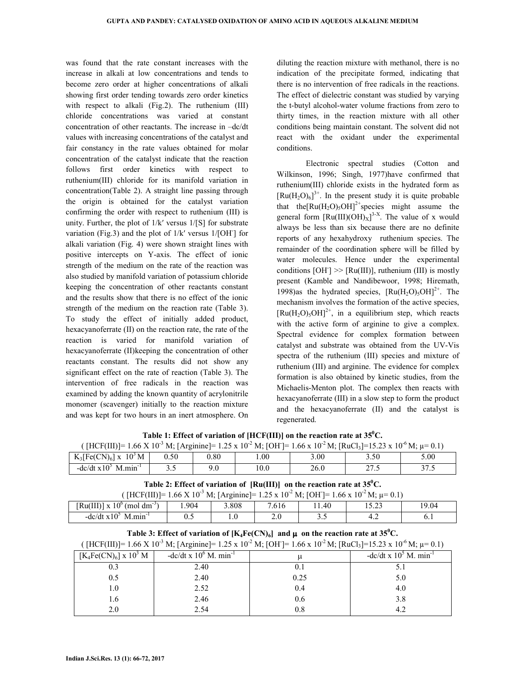was found that the rate constant increases with the increase in alkali at low concentrations and tends to become zero order at higher concentrations of alkali showing first order tending towards zero order kinetics with respect to alkali (Fig.2). The ruthenium (III) chloride concentrations was varied at constant concentration of other reactants. The increase in –dc/dt values with increasing concentrations of the catalyst and fair constancy in the rate values obtained for molar concentration of the catalyst indicate that the reaction follows first order kinetics with respect to ruthenium(III) chloride for its manifold variation in concentration(Table 2). A straight line passing through the origin is obtained for the catalyst variation confirming the order with respect to ruthenium (III) is unity. Further, the plot of 1/k′ versus 1/[S] for substrate variation (Fig.3) and the plot of  $1/k'$  versus  $1/[OH]$  for alkali variation (Fig. 4) were shown straight lines with positive intercepts on Y-axis. The effect of ionic strength of the medium on the rate of the reaction was also studied by manifold variation of potassium chloride keeping the concentration of other reactants constant and the results show that there is no effect of the ionic strength of the medium on the reaction rate (Table 3). To study the effect of initially added product, hexacyanoferrate (II) on the reaction rate, the rate of the reaction is varied for manifold variation of hexacyanoferrate (II)keeping the concentration of other reactants constant. The results did not show any significant effect on the rate of reaction (Table 3). The intervention of free radicals in the reaction was examined by adding the known quantity of acrylonitrile monomer (scavenger) initially to the reaction mixture and was kept for two hours in an inert atmosphere. On

diluting the reaction mixture with methanol, there is no indication of the precipitate formed, indicating that there is no intervention of free radicals in the reactions. The effect of dielectric constant was studied by varying the t-butyl alcohol-water volume fractions from zero to thirty times, in the reaction mixture with all other conditions being maintain constant. The solvent did not react with the oxidant under the experimental conditions.

 Electronic spectral studies (Cotton and Wilkinson, 1996; Singh, 1977)have confirmed that ruthenium(III) chloride exists in the hydrated form as  $\left[\text{Ru}(H_2O)_6\right]^{3+}$ . In the present study it is quite probable that the  $\text{Ru}(H_2O)_5\text{OH}^2$ <sup>+</sup>species might assume the general form  $[Ru(III)(OH)_X]^{3-X}$ . The value of x would always be less than six because there are no definite reports of any hexahydroxy ruthenium species. The remainder of the coordination sphere will be filled by water molecules. Hence under the experimental conditions  $[OH] \gg [Ru(III)]$ , ruthenium (III) is mostly present (Kamble and Nandibewoor, 1998; Hiremath, 1998)as the hydrated species,  $\text{[Ru(H<sub>2</sub>O)<sub>5</sub>OH]<sup>2+</sup>$ . The mechanism involves the formation of the active species,  $[Ru(H_2O)_5OH]^{2+}$ , in a equilibrium step, which reacts with the active form of arginine to give a complex. Spectral evidence for complex formation between catalyst and substrate was obtained from the UV-Vis spectra of the ruthenium (III) species and mixture of ruthenium (III) and arginine. The evidence for complex formation is also obtained by kinetic studies, from the Michaelis-Menton plot. The complex then reacts with hexacyanoferrate (III) in a slow step to form the product and the hexacyanoferrate (II) and the catalyst is regenerated.

| [HCF(III)]= 1.66 X 10 <sup>-3</sup> M; [Arginine]= 1.25 x 10 <sup>-2</sup> M; [OH]= 1.66 x 10 <sup>-2</sup> M; [RuCl <sub>3</sub> ]=15.23 x 10 <sup>-6</sup> M; $\mu$ = 0.1) |      |      |      |      |      |      |
|------------------------------------------------------------------------------------------------------------------------------------------------------------------------------|------|------|------|------|------|------|
| $K_3[Fe(CN)_6]$ x $10^3$ M                                                                                                                                                   | 0.50 | 0.80 | .00. | 3.00 | 3.50 | 5.00 |
| -dc/dt $x105$ M.min <sup>-1</sup>                                                                                                                                            |      | 9.0  | 10.0 | 26.0 | 27.5 | 27 S |

**Table 1: Effect of variation of [HCF(III)] on the reaction rate at 35<sup>0</sup>C.** 

| Table 2: Effect of variation of $\left[\text{Ru(III)}\right]$ on the reaction rate at 35 <sup>°</sup> C.                                   |       |       |       |       |       |       |
|--------------------------------------------------------------------------------------------------------------------------------------------|-------|-------|-------|-------|-------|-------|
| ( $[HCF(III)] = 1.66 \text{ X } 10^{-3} \text{ M};$ [Arginine] = 1.25 x 10 <sup>-2</sup> M; [OH] = 1.66 x 10 <sup>-2</sup> M; $\mu$ = 0.1) |       |       |       |       |       |       |
| $[Ru(III)] \times 10^{6}$ (mol dm <sup>-3</sup> )                                                                                          | 1.904 | 3.808 | 7.616 | 11.40 | 15.23 | 19.04 |
| -dc/dt $x10^5$ M min <sup>-1</sup>                                                                                                         | 0.5   | 10    | 2.0   | 3.5   |       | 6.1   |

| Table 3: Effect of variation of $[K_4Fe(CN)_6]$ and $\mu$ on the reaction rate at 35 <sup>°</sup> C. |  |
|------------------------------------------------------------------------------------------------------|--|
|------------------------------------------------------------------------------------------------------|--|

|               | ([HCF(III)]= 1.66 X 10 <sup>-3</sup> M; [Arginine]= 1.25 x 10 <sup>-2</sup> M; [OH]= 1.66 x 10 <sup>-2</sup> M; [RuCl <sub>3</sub> ]=15.23 x 10 <sup>-6</sup> M; $\mu$ = 0.1) |                                                                                                                                                                                                                                                                                                                     |
|---------------|-------------------------------------------------------------------------------------------------------------------------------------------------------------------------------|---------------------------------------------------------------------------------------------------------------------------------------------------------------------------------------------------------------------------------------------------------------------------------------------------------------------|
| $\frac{1}{2}$ |                                                                                                                                                                               | $\frac{1}{2}$ $\frac{1}{2}$ $\frac{1}{2}$ $\frac{1}{2}$ $\frac{1}{2}$ $\frac{1}{2}$ $\frac{1}{2}$ $\frac{1}{2}$ $\frac{1}{2}$ $\frac{1}{2}$ $\frac{1}{2}$ $\frac{1}{2}$ $\frac{1}{2}$ $\frac{1}{2}$ $\frac{1}{2}$ $\frac{1}{2}$ $\frac{1}{2}$ $\frac{1}{2}$ $\frac{1}{2}$ $\frac{1}{2}$ $\frac{1}{2}$ $\frac{1}{2}$ |

| $[K_4Fe(CN)_6] \times 10^3 M$ | -dc/dt x $10^6$ M. min <sup>-1</sup> |      | -dc/dt x $105$ M. min <sup>-1</sup> |
|-------------------------------|--------------------------------------|------|-------------------------------------|
| 0.3                           | 2.40                                 | 0.1  |                                     |
| 0.5                           | 2.40                                 | 0.25 | 5.0                                 |
| 1.0                           | 2.52                                 | 0.4  | 4.0                                 |
| l.6                           | 2.46                                 | 0.6  | 3.8                                 |
| 2.0                           | 2.54                                 | 0.8  | 4.2                                 |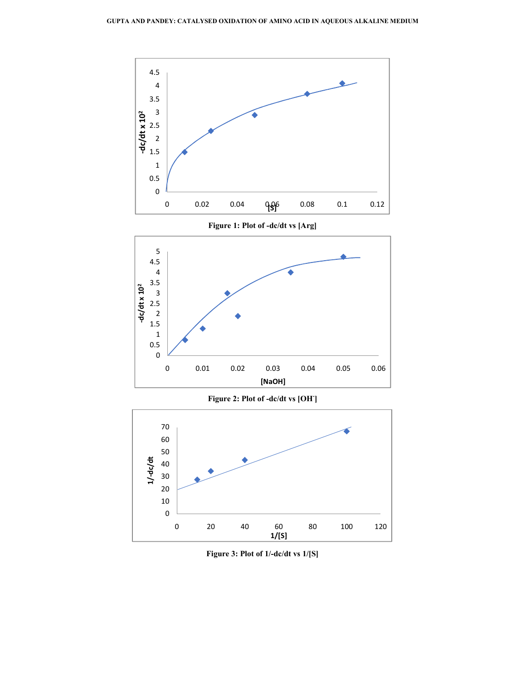

**Figure 1: Plot of -dc/dt vs [Arg]** 



**Figure 2: Plot of -dc/dt vs [OH- ]** 



**Figure 3: Plot of 1/-dc/dt vs 1/[S]**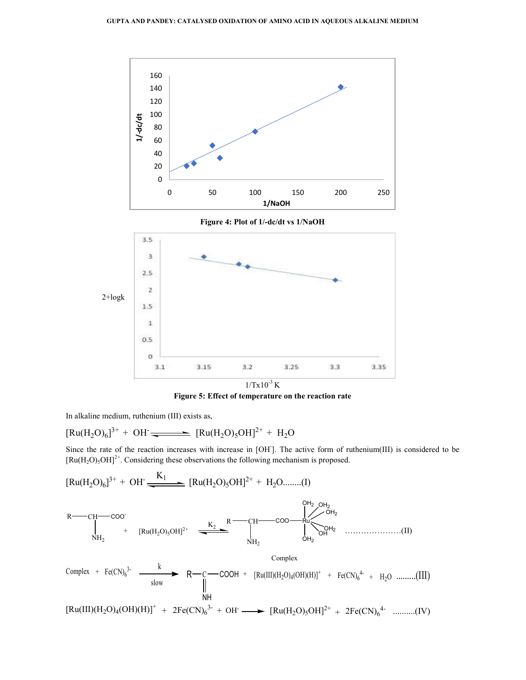

**Figure 4: Plot of 1/-dc/dt vs 1/NaOH**



**Figure 5: Effect of temperature on the reaction rate**

In alkaline medium, ruthenium (III) exists as,

$$
[Ru(H_2O)_6]^{3+} + OH \longrightarrow [Ru(H_2O)_5OH]^{2+} + H_2O
$$

Since the rate of the reaction increases with increase in [OH]. The active form of ruthenium(III) is considered to be  $[Ru(H_2O)_5OH]^{2+}$ . Considering these observations the following mechanism is proposed.

$$
[Ru(H_2O)_6]^{3+} + OH \xrightarrow{K_1} [Ru(H_2O)_5OH]^{2+} + H_2O........(I)
$$
\n
$$
R \xrightarrow{\text{CH} \longrightarrow \text{COO}} \text{R} \xrightarrow{\text{CH} \longrightarrow \text{COO}} \text{R} \xrightarrow{\text{CH} \longrightarrow \text{COO}} \text{R} \xrightarrow{\text{CH} \longrightarrow \text{COH}_2} \text{OH}_2
$$
\n
$$
+ [Ru(H_2O)_5OH]^{2+} \xrightarrow{\text{K}_2} \text{R} \xrightarrow{\text{CH} \longrightarrow \text{COO}} \text{C} \xrightarrow{\text{OH}_2} \text{OH}_2
$$
\n
$$
Complex
$$
\n
$$
+ Fe(CN)_6^{3-} \xrightarrow{\text{K}} R \xrightarrow{\text{C}} \text{C} \xrightarrow{\text{COOH}} + [Ru(III)(H_2O)_4(OH)(H)]^+ + Fe(CN)_6^{4+} + H_2O \dots ...(III)
$$
\n
$$
I \xrightarrow{\text{H} \longrightarrow} \text{R} \xrightarrow{\text{C}} \text{C} \xrightarrow{\text{H} \longrightarrow} \text{R} \xrightarrow{\text{CH} \longrightarrow} \text{R} \xrightarrow{\text{H} \longrightarrow} \text{R} \xrightarrow{\text{CH} \longrightarrow} \text{R} \xrightarrow{\text{CH} \longrightarrow} \text{R} \xrightarrow{\text{CH} \longrightarrow} \text{R} \xrightarrow{\text{CH} \longrightarrow} \text{R} \xrightarrow{\text{CH} \longrightarrow} \text{R} \xrightarrow{\text{CH} \longrightarrow} \text{R} \xrightarrow{\text{CH} \longrightarrow} \text{R} \xrightarrow{\text{CH} \longrightarrow} \text{R} \xrightarrow{\text{CH} \longrightarrow} \text{R} \xrightarrow{\text{CH} \longrightarrow} \text{R} \xrightarrow{\text{CH} \longrightarrow} \text{R} \xrightarrow{\text{CH} \longrightarrow} \text{R} \xrightarrow{\text{CH} \longrightarrow} \text{R} \xrightarrow{\text{CH} \longrightarrow} \text{R} \xrightarrow{\text{CH} \longrightarrow} \text{R} \xrightarrow{\text{CH} \longrightarrow} \text{R} \xrightarrow{\text{CH} \longrightarrow} \text{R} \xrightarrow{\text{CH} \longrightarrow} \text{R} \xrightarrow{\text{CH} \longrightarrow} \text{R} \xrightarrow{\text{CH} \longrightarrow} \text{R} \xrightarrow{\text{CH} \longrightarrow} \text{R} \xrightarrow{\text{CH} \longrightarrow}
$$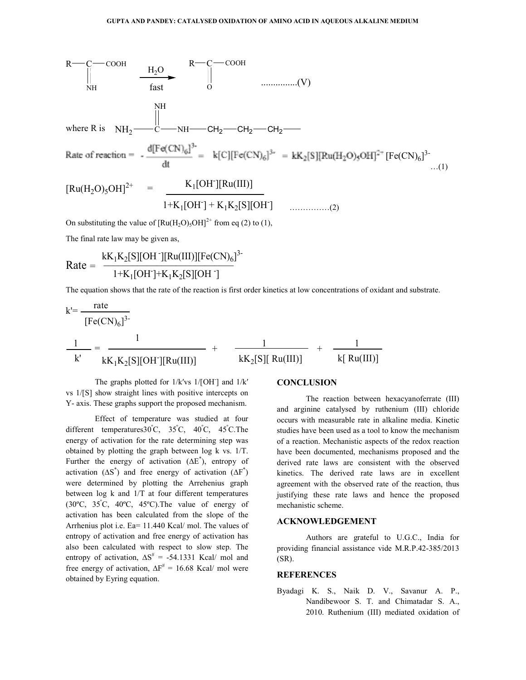

The final rate law may be given as,

Rate = 
$$
\frac{kK_1K_2[S][OH^-][Ru(III)][Fe(CN)_6]^{3-}}{1+K_1[OH^-]+K_1K_2[S][OH^-]}
$$

The equation shows that the rate of the reaction is first order kinetics at low concentrations of oxidant and substrate.

$$
k' = \frac{\text{rate}}{[Fe(CN)_{6}]^{3}}
$$
  

$$
\frac{1}{k'} = \frac{1}{kK_{1}K_{2}[S][OH'][Ru(III)]} + \frac{1}{kK_{2}[S][Ru(III)]} + \frac{1}{k[Ru(III)]}
$$

The graphs plotted for  $1/k$ 'vs  $1/[OH]$  and  $1/k'$ vs 1/[S] show straight lines with positive intercepts on Y- axis. These graphs support the proposed mechanism.

 Effect of temperature was studied at four different temperatures30°C, 35°C, 40°C, 45°C.The energy of activation for the rate determining step was obtained by plotting the graph between log k vs. 1/T. Further the energy of activation  $(\Delta E^*)$ , entropy of activation  $(ΔS<sup>*</sup>)$  and free energy of activation  $(ΔF<sup>*</sup>)$ were determined by plotting the Arrehenius graph between log k and 1/T at four different temperatures (30 $\degree$ C, 35 $\degree$ C, 40 $\degree$ C, 45 $\degree$ C). The value of energy of activation has been calculated from the slope of the Arrhenius plot i.e. Ea= 11.440 Kcal/ mol. The values of entropy of activation and free energy of activation has also been calculated with respect to slow step. The entropy of activation,  $\Delta S^{\#} = -54.1331$  Kcal/ mol and free energy of activation,  $\Delta F^{\#} = 16.68$  Kcal/ mol were obtained by Eyring equation.

# **CONCLUSION**

 The reaction between hexacyanoferrate (III) and arginine catalysed by ruthenium (III) chloride occurs with measurable rate in alkaline media. Kinetic studies have been used as a tool to know the mechanism of a reaction. Mechanistic aspects of the redox reaction have been documented, mechanisms proposed and the derived rate laws are consistent with the observed kinetics. The derived rate laws are in excellent agreement with the observed rate of the reaction, thus justifying these rate laws and hence the proposed mechanistic scheme.

#### **ACKNOWLEDGEMENT**

 Authors are grateful to U.G.C., India for providing financial assistance vide M.R.P.42-385/2013 (SR).

# **REFERENCES**

Byadagi K. S., Naik D. V., Savanur A. P., Nandibewoor S. T. and Chimatadar S. A., 2010. Ruthenium (III) mediated oxidation of